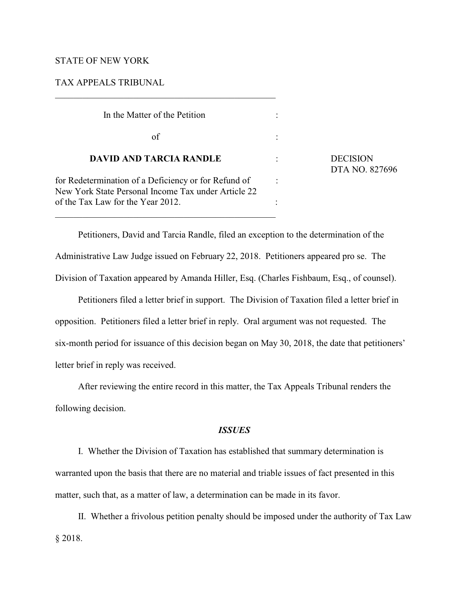### STATE OF NEW YORK

TAX APPEALS TRIBUNAL

| In the Matter of the Petition                                                                               |  |
|-------------------------------------------------------------------------------------------------------------|--|
| of                                                                                                          |  |
| <b>DAVID AND TARCIA RANDLE</b>                                                                              |  |
| for Redetermination of a Deficiency or for Refund of<br>New York State Personal Income Tax under Article 22 |  |
| of the Tax Law for the Year 2012.                                                                           |  |

**DECISION** DTA NO. 827696

Petitioners, David and Tarcia Randle, filed an exception to the determination of the Administrative Law Judge issued on February 22, 2018. Petitioners appeared pro se. The Division of Taxation appeared by Amanda Hiller, Esq. (Charles Fishbaum, Esq., of counsel).

Petitioners filed a letter brief in support. The Division of Taxation filed a letter brief in opposition. Petitioners filed a letter brief in reply. Oral argument was not requested. The six-month period for issuance of this decision began on May 30, 2018, the date that petitioners' letter brief in reply was received.

After reviewing the entire record in this matter, the Tax Appeals Tribunal renders the following decision.

# *ISSUES*

I. Whether the Division of Taxation has established that summary determination is warranted upon the basis that there are no material and triable issues of fact presented in this matter, such that, as a matter of law, a determination can be made in its favor.

II. Whether a frivolous petition penalty should be imposed under the authority of Tax Law § 2018.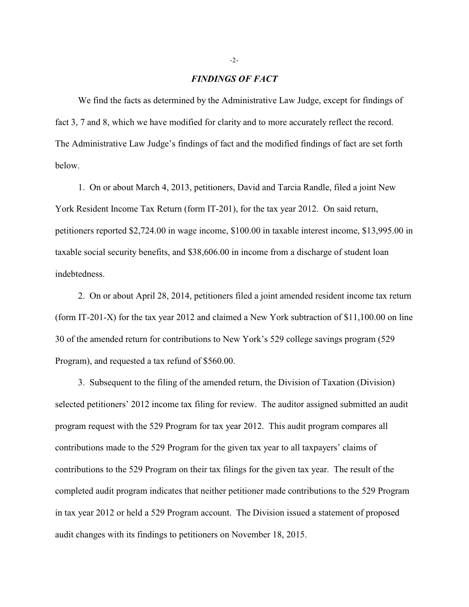#### *FINDINGS OF FACT*

We find the facts as determined by the Administrative Law Judge, except for findings of fact 3, 7 and 8, which we have modified for clarity and to more accurately reflect the record. The Administrative Law Judge's findings of fact and the modified findings of fact are set forth below.

1. On or about March 4, 2013, petitioners, David and Tarcia Randle, filed a joint New York Resident Income Tax Return (form IT-201), for the tax year 2012. On said return, petitioners reported \$2,724.00 in wage income, \$100.00 in taxable interest income, \$13,995.00 in taxable social security benefits, and \$38,606.00 in income from a discharge of student loan indebtedness.

2. On or about April 28, 2014, petitioners filed a joint amended resident income tax return (form IT-201-X) for the tax year 2012 and claimed a New York subtraction of \$11,100.00 on line 30 of the amended return for contributions to New York's 529 college savings program (529 Program), and requested a tax refund of \$560.00.

3. Subsequent to the filing of the amended return, the Division of Taxation (Division) selected petitioners' 2012 income tax filing for review. The auditor assigned submitted an audit program request with the 529 Program for tax year 2012. This audit program compares all contributions made to the 529 Program for the given tax year to all taxpayers' claims of contributions to the 529 Program on their tax filings for the given tax year. The result of the completed audit program indicates that neither petitioner made contributions to the 529 Program in tax year 2012 or held a 529 Program account. The Division issued a statement of proposed audit changes with its findings to petitioners on November 18, 2015.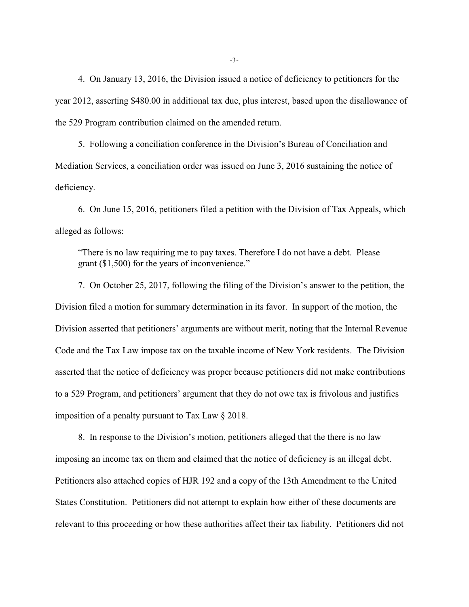4. On January 13, 2016, the Division issued a notice of deficiency to petitioners for the year 2012, asserting \$480.00 in additional tax due, plus interest, based upon the disallowance of the 529 Program contribution claimed on the amended return.

5. Following a conciliation conference in the Division's Bureau of Conciliation and Mediation Services, a conciliation order was issued on June 3, 2016 sustaining the notice of deficiency.

6. On June 15, 2016, petitioners filed a petition with the Division of Tax Appeals, which alleged as follows:

"There is no law requiring me to pay taxes. Therefore I do not have a debt. Please grant (\$1,500) for the years of inconvenience."

7. On October 25, 2017, following the filing of the Division's answer to the petition, the Division filed a motion for summary determination in its favor. In support of the motion, the Division asserted that petitioners' arguments are without merit, noting that the Internal Revenue Code and the Tax Law impose tax on the taxable income of New York residents. The Division asserted that the notice of deficiency was proper because petitioners did not make contributions to a 529 Program, and petitioners' argument that they do not owe tax is frivolous and justifies imposition of a penalty pursuant to Tax Law § 2018.

8. In response to the Division's motion, petitioners alleged that the there is no law imposing an income tax on them and claimed that the notice of deficiency is an illegal debt. Petitioners also attached copies of HJR 192 and a copy of the 13th Amendment to the United States Constitution. Petitioners did not attempt to explain how either of these documents are relevant to this proceeding or how these authorities affect their tax liability. Petitioners did not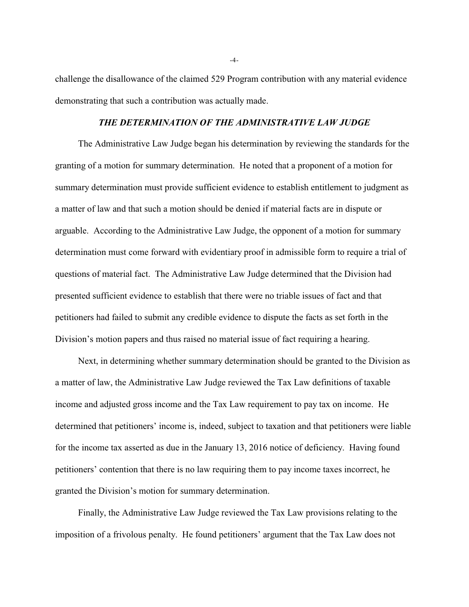challenge the disallowance of the claimed 529 Program contribution with any material evidence demonstrating that such a contribution was actually made.

## *THE DETERMINATION OF THE ADMINISTRATIVE LAW JUDGE*

The Administrative Law Judge began his determination by reviewing the standards for the granting of a motion for summary determination. He noted that a proponent of a motion for summary determination must provide sufficient evidence to establish entitlement to judgment as a matter of law and that such a motion should be denied if material facts are in dispute or arguable. According to the Administrative Law Judge, the opponent of a motion for summary determination must come forward with evidentiary proof in admissible form to require a trial of questions of material fact. The Administrative Law Judge determined that the Division had presented sufficient evidence to establish that there were no triable issues of fact and that petitioners had failed to submit any credible evidence to dispute the facts as set forth in the Division's motion papers and thus raised no material issue of fact requiring a hearing.

Next, in determining whether summary determination should be granted to the Division as a matter of law, the Administrative Law Judge reviewed the Tax Law definitions of taxable income and adjusted gross income and the Tax Law requirement to pay tax on income. He determined that petitioners' income is, indeed, subject to taxation and that petitioners were liable for the income tax asserted as due in the January 13, 2016 notice of deficiency. Having found petitioners' contention that there is no law requiring them to pay income taxes incorrect, he granted the Division's motion for summary determination.

Finally, the Administrative Law Judge reviewed the Tax Law provisions relating to the imposition of a frivolous penalty. He found petitioners' argument that the Tax Law does not

-4-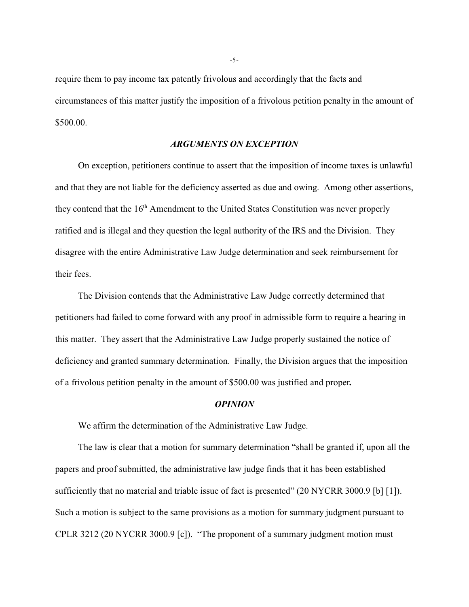require them to pay income tax patently frivolous and accordingly that the facts and circumstances of this matter justify the imposition of a frivolous petition penalty in the amount of \$500.00.

## *ARGUMENTS ON EXCEPTION*

On exception, petitioners continue to assert that the imposition of income taxes is unlawful and that they are not liable for the deficiency asserted as due and owing. Among other assertions, they contend that the  $16<sup>th</sup>$  Amendment to the United States Constitution was never properly ratified and is illegal and they question the legal authority of the IRS and the Division. They disagree with the entire Administrative Law Judge determination and seek reimbursement for their fees.

The Division contends that the Administrative Law Judge correctly determined that petitioners had failed to come forward with any proof in admissible form to require a hearing in this matter. They assert that the Administrative Law Judge properly sustained the notice of deficiency and granted summary determination. Finally, the Division argues that the imposition of a frivolous petition penalty in the amount of \$500.00 was justified and proper*.*

#### *OPINION*

We affirm the determination of the Administrative Law Judge.

The law is clear that a motion for summary determination "shall be granted if, upon all the papers and proof submitted, the administrative law judge finds that it has been established sufficiently that no material and triable issue of fact is presented" (20 NYCRR 3000.9 [b] [1]). Such a motion is subject to the same provisions as a motion for summary judgment pursuant to CPLR 3212 (20 NYCRR 3000.9 [c]). "The proponent of a summary judgment motion must

-5-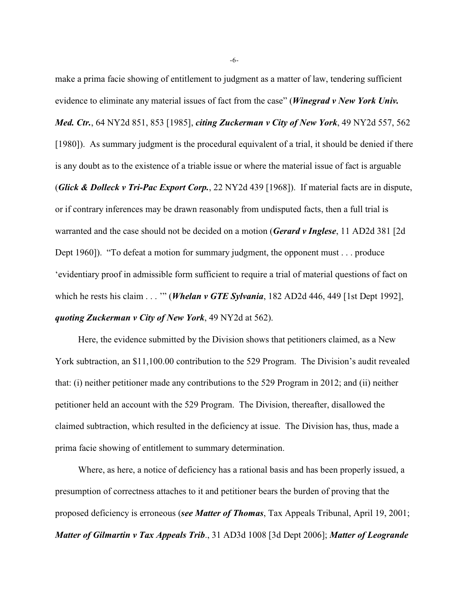make a prima facie showing of entitlement to judgment as a matter of law, tendering sufficient evidence to eliminate any material issues of fact from the case" (*Winegrad v New York Univ. Med. Ctr.*, 64 NY2d 851, 853 [1985], *citing Zuckerman v City of New York*, 49 NY2d 557, 562 [1980]). As summary judgment is the procedural equivalent of a trial, it should be denied if there is any doubt as to the existence of a triable issue or where the material issue of fact is arguable (*Glick & Dolleck v Tri-Pac Export Corp.*, 22 NY2d 439 [1968]). If material facts are in dispute, or if contrary inferences may be drawn reasonably from undisputed facts, then a full trial is warranted and the case should not be decided on a motion (*Gerard v Inglese*, 11 AD2d 381 [2d Dept 1960]). "To defeat a motion for summary judgment, the opponent must . . . produce 'evidentiary proof in admissible form sufficient to require a trial of material questions of fact on which he rests his claim . . . '" (*Whelan v GTE Sylvania*, 182 AD2d 446, 449 [1st Dept 1992], *quoting Zuckerman v City of New York*, 49 NY2d at 562).

Here, the evidence submitted by the Division shows that petitioners claimed, as a New York subtraction, an \$11,100.00 contribution to the 529 Program. The Division's audit revealed that: (i) neither petitioner made any contributions to the 529 Program in 2012; and (ii) neither petitioner held an account with the 529 Program. The Division, thereafter, disallowed the claimed subtraction, which resulted in the deficiency at issue. The Division has, thus, made a prima facie showing of entitlement to summary determination.

Where, as here, a notice of deficiency has a rational basis and has been properly issued, a presumption of correctness attaches to it and petitioner bears the burden of proving that the proposed deficiency is erroneous (*see Matter of Thomas*, Tax Appeals Tribunal, April 19, 2001; *Matter of Gilmartin v Tax Appeals Trib*., 31 AD3d 1008 [3d Dept 2006]; *Matter of Leogrande*

-6-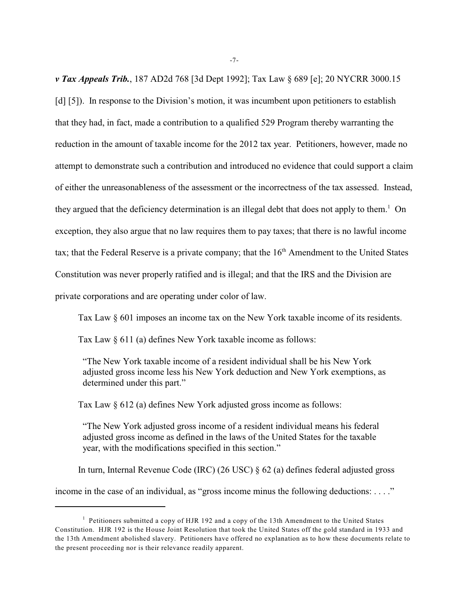*v Tax Appeals Trib.*, 187 AD2d 768 [3d Dept 1992]; Tax Law § 689 [e]; 20 NYCRR 3000.15 [d] [5]). In response to the Division's motion, it was incumbent upon petitioners to establish that they had, in fact, made a contribution to a qualified 529 Program thereby warranting the reduction in the amount of taxable income for the 2012 tax year. Petitioners, however, made no attempt to demonstrate such a contribution and introduced no evidence that could support a claim of either the unreasonableness of the assessment or the incorrectness of the tax assessed. Instead, they argued that the deficiency determination is an illegal debt that does not apply to them.<sup>1</sup> On exception, they also argue that no law requires them to pay taxes; that there is no lawful income tax; that the Federal Reserve is a private company; that the  $16<sup>th</sup>$  Amendment to the United States Constitution was never properly ratified and is illegal; and that the IRS and the Division are private corporations and are operating under color of law.

Tax Law § 601 imposes an income tax on the New York taxable income of its residents.

Tax Law § 611 (a) defines New York taxable income as follows:

"The New York taxable income of a resident individual shall be his New York adjusted gross income less his New York deduction and New York exemptions, as determined under this part."

Tax Law § 612 (a) defines New York adjusted gross income as follows:

"The New York adjusted gross income of a resident individual means his federal adjusted gross income as defined in the laws of the United States for the taxable year, with the modifications specified in this section."

In turn, Internal Revenue Code (IRC) (26 USC) § 62 (a) defines federal adjusted gross

income in the case of an individual, as "gross income minus the following deductions:  $\dots$ ."

 $1$  Petitioners submitted a copy of HJR 192 and a copy of the 13th Amendment to the United States Constitution. HJR 192 is the House Joint Resolution that took the United States off the gold standard in 1933 and the 13th Amendment abolished slavery. Petitioners have offered no explanation as to how these documents relate to the present proceeding nor is their relevance readily apparent.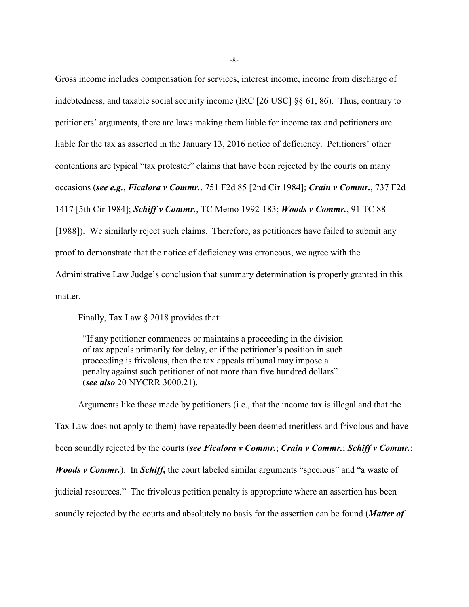Gross income includes compensation for services, interest income, income from discharge of indebtedness, and taxable social security income (IRC [26 USC] §§ 61, 86). Thus, contrary to petitioners' arguments, there are laws making them liable for income tax and petitioners are liable for the tax as asserted in the January 13, 2016 notice of deficiency. Petitioners' other contentions are typical "tax protester" claims that have been rejected by the courts on many occasions (*see e.g.*, *Ficalora v Commr.*, 751 F2d 85 [2nd Cir 1984]; *Crain v Commr.*, 737 F2d 1417 [5th Cir 1984]; *Schiff v Commr.*, TC Memo 1992-183; *Woods v Commr.*, 91 TC 88 [1988]). We similarly reject such claims. Therefore, as petitioners have failed to submit any proof to demonstrate that the notice of deficiency was erroneous, we agree with the Administrative Law Judge's conclusion that summary determination is properly granted in this matter.

Finally, Tax Law § 2018 provides that:

"If any petitioner commences or maintains a proceeding in the division of tax appeals primarily for delay, or if the petitioner's position in such proceeding is frivolous, then the tax appeals tribunal may impose a penalty against such petitioner of not more than five hundred dollars" (*see also* 20 NYCRR 3000.21).

Arguments like those made by petitioners (i.e., that the income tax is illegal and that the Tax Law does not apply to them) have repeatedly been deemed meritless and frivolous and have been soundly rejected by the courts (*see Ficalora v Commr.*; *Crain v Commr.*; *Schiff v Commr.*; *Woods v Commr.*). In *Schiff***,** the court labeled similar arguments "specious" and "a waste of judicial resources." The frivolous petition penalty is appropriate where an assertion has been soundly rejected by the courts and absolutely no basis for the assertion can be found (*Matter of*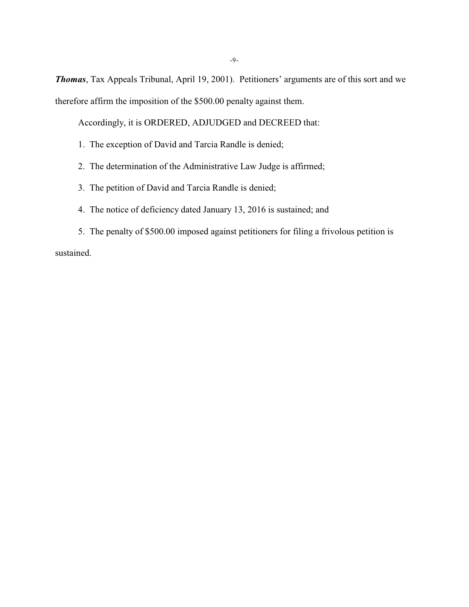*Thomas*, Tax Appeals Tribunal, April 19, 2001). Petitioners' arguments are of this sort and we therefore affirm the imposition of the \$500.00 penalty against them.

Accordingly, it is ORDERED, ADJUDGED and DECREED that:

- 1. The exception of David and Tarcia Randle is denied;
- 2. The determination of the Administrative Law Judge is affirmed;
- 3. The petition of David and Tarcia Randle is denied;
- 4. The notice of deficiency dated January 13, 2016 is sustained; and
- 5. The penalty of \$500.00 imposed against petitioners for filing a frivolous petition is sustained.